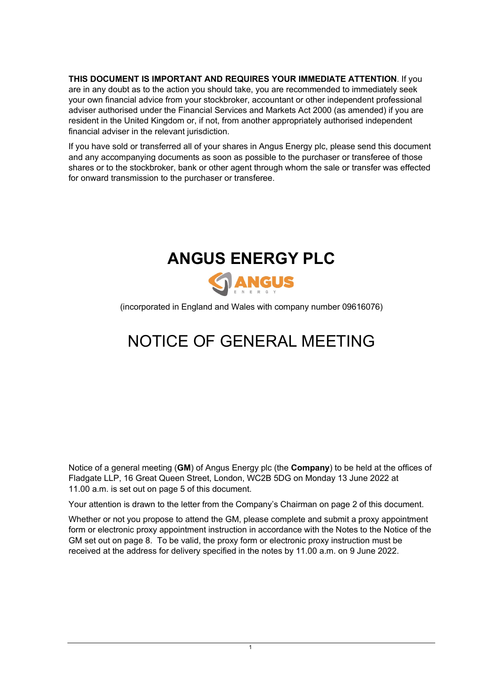**THIS DOCUMENT IS IMPORTANT AND REQUIRES YOUR IMMEDIATE ATTENTION**. If you are in any doubt as to the action you should take, you are recommended to immediately seek your own financial advice from your stockbroker, accountant or other independent professional adviser authorised under the Financial Services and Markets Act 2000 (as amended) if you are resident in the United Kingdom or, if not, from another appropriately authorised independent financial adviser in the relevant jurisdiction.

If you have sold or transferred all of your shares in Angus Energy plc, please send this document and any accompanying documents as soon as possible to the purchaser or transferee of those shares or to the stockbroker, bank or other agent through whom the sale or transfer was effected for onward transmission to the purchaser or transferee.



(incorporated in England and Wales with company number 09616076)

## NOTICE OF GENERAL MEETING

Notice of a general meeting (**GM**) of Angus Energy plc (the **Company**) to be held at the offices of Fladgate LLP, 16 Great Queen Street, London, WC2B 5DG on Monday 13 June 2022 at 11.00 a.m. is set out on page [5](#page-4-0) of this document.

Your attention is drawn to the letter from the Company's Chairman on page [2](#page-1-0) of this document.

Whether or not you propose to attend the GM, please complete and submit a proxy appointment form or electronic proxy appointment instruction in accordance with the Notes to the Notice of the GM set out on page [8.](#page-7-0) To be valid, the proxy form or electronic proxy instruction must be received at the address for delivery specified in the notes by 11.00 a.m. on 9 June 2022.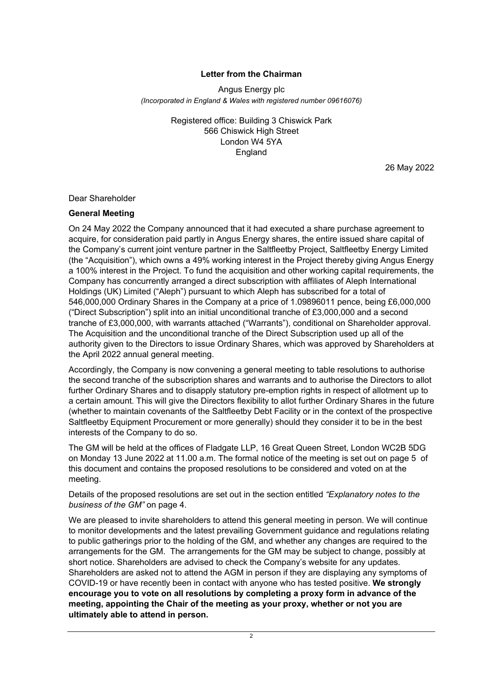## **Letter from the Chairman**

<span id="page-1-0"></span>Angus Energy plc *(Incorporated in England & Wales with registered number 09616076)*

> Registered office: Building 3 Chiswick Park 566 Chiswick High Street London W4 5YA England

> > 26 May 2022

Dear Shareholder

#### **General Meeting**

On 24 May 2022 the Company announced that it had executed a share purchase agreement to acquire, for consideration paid partly in Angus Energy shares, the entire issued share capital of the Company's current joint venture partner in the Saltfleetby Project, Saltfleetby Energy Limited (the "Acquisition"), which owns a 49% working interest in the Project thereby giving Angus Energy a 100% interest in the Project. To fund the acquisition and other working capital requirements, the Company has concurrently arranged a direct subscription with affiliates of Aleph International Holdings (UK) Limited ("Aleph") pursuant to which Aleph has subscribed for a total of 546,000,000 Ordinary Shares in the Company at a price of 1.09896011 pence, being £6,000,000 ("Direct Subscription") split into an initial unconditional tranche of £3,000,000 and a second tranche of £3,000,000, with warrants attached ("Warrants"), conditional on Shareholder approval. The Acquisition and the unconditional tranche of the Direct Subscription used up all of the authority given to the Directors to issue Ordinary Shares, which was approved by Shareholders at the April 2022 annual general meeting.

Accordingly, the Company is now convening a general meeting to table resolutions to authorise the second tranche of the subscription shares and warrants and to authorise the Directors to allot further Ordinary Shares and to disapply statutory pre-emption rights in respect of allotment up to a certain amount. This will give the Directors flexibility to allot further Ordinary Shares in the future (whether to maintain covenants of the Saltfleetby Debt Facility or in the context of the prospective Saltfleetby Equipment Procurement or more generally) should they consider it to be in the best interests of the Company to do so.

The GM will be held at the offices of Fladgate LLP, 16 Great Queen Street, London WC2B 5DG on Monday 13 June 2022 at 11.00 a.m. The formal notice of the meeting is set out on page [5](#page-4-0) of this document and contains the proposed resolutions to be considered and voted on at the meeting.

Details of the proposed resolutions are set out in the section entitled *"Explanatory notes to the business of the GM"* on page [4.](#page-3-0)

We are pleased to invite shareholders to attend this general meeting in person. We will continue to monitor developments and the latest prevailing Government guidance and regulations relating to public gatherings prior to the holding of the GM, and whether any changes are required to the arrangements for the GM. The arrangements for the GM may be subject to change, possibly at short notice. Shareholders are advised to check the Company's website for any updates. Shareholders are asked not to attend the AGM in person if they are displaying any symptoms of COVID-19 or have recently been in contact with anyone who has tested positive. **We strongly encourage you to vote on all resolutions by completing a proxy form in advance of the meeting, appointing the Chair of the meeting as your proxy, whether or not you are ultimately able to attend in person.**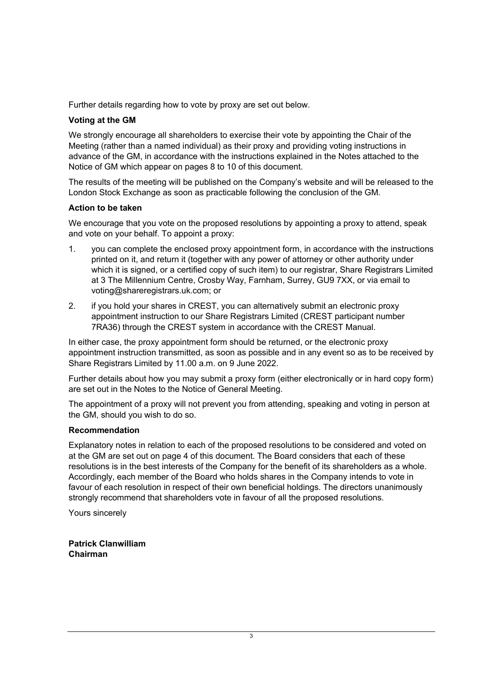Further details regarding how to vote by proxy are set out below.

## **Voting at the GM**

We strongly encourage all shareholders to exercise their vote by appointing the Chair of the Meeting (rather than a named individual) as their proxy and providing voting instructions in advance of the GM, in accordance with the instructions explained in the Notes attached to the Notice of GM which appear on pages 8 to 10 of this document.

The results of the meeting will be published on the Company's website and will be released to the London Stock Exchange as soon as practicable following the conclusion of the GM.

## **Action to be taken**

We encourage that you vote on the proposed resolutions by appointing a proxy to attend, speak and vote on your behalf. To appoint a proxy:

- 1. you can complete the enclosed proxy appointment form, in accordance with the instructions printed on it, and return it (together with any power of attorney or other authority under which it is signed, or a certified copy of such item) to our registrar, Share Registrars Limited at 3 The Millennium Centre, Crosby Way, Farnham, Surrey, GU9 7XX, or via email to voting@shareregistrars.uk.com; or
- 2. if you hold your shares in CREST, you can alternatively submit an electronic proxy appointment instruction to our Share Registrars Limited (CREST participant number 7RA36) through the CREST system in accordance with the CREST Manual.

In either case, the proxy appointment form should be returned, or the electronic proxy appointment instruction transmitted, as soon as possible and in any event so as to be received by Share Registrars Limited by 11.00 a.m. on 9 June 2022.

Further details about how you may submit a proxy form (either electronically or in hard copy form) are set out in the Notes to the Notice of General Meeting.

The appointment of a proxy will not prevent you from attending, speaking and voting in person at the GM, should you wish to do so.

## **Recommendation**

Explanatory notes in relation to each of the proposed resolutions to be considered and voted on at the GM are set out on page 4 of this document. The Board considers that each of these resolutions is in the best interests of the Company for the benefit of its shareholders as a whole. Accordingly, each member of the Board who holds shares in the Company intends to vote in favour of each resolution in respect of their own beneficial holdings. The directors unanimously strongly recommend that shareholders vote in favour of all the proposed resolutions.

Yours sincerely

**Patrick Clanwilliam Chairman**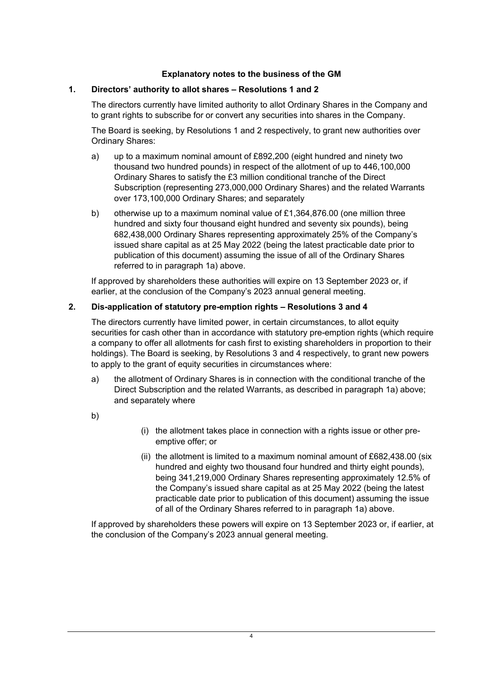## **Explanatory notes to the business of the GM**

## <span id="page-3-0"></span>**1. Directors' authority to allot shares – Resolutions 1 and 2**

The directors currently have limited authority to allot Ordinary Shares in the Company and to grant rights to subscribe for or convert any securities into shares in the Company.

The Board is seeking, by Resolutions 1 and 2 respectively, to grant new authorities over Ordinary Shares:

- <span id="page-3-1"></span>a) up to a maximum nominal amount of £892,200 (eight hundred and ninety two thousand two hundred pounds) in respect of the allotment of up to 446,100,000 Ordinary Shares to satisfy the £3 million conditional tranche of the Direct Subscription (representing 273,000,000 Ordinary Shares) and the related Warrants over 173,100,000 Ordinary Shares; and separately
- b) otherwise up to a maximum nominal value of £1,364,876.00 (one million three hundred and sixty four thousand eight hundred and seventy six pounds), being 682,438,000 Ordinary Shares representing approximately 25% of the Company's issued share capital as at 25 May 2022 (being the latest practicable date prior to publication of this document) assuming the issue of all of the Ordinary Shares referred to in paragraph [1a\)](#page-3-1) above.

If approved by shareholders these authorities will expire on 13 September 2023 or, if earlier, at the conclusion of the Company's 2023 annual general meeting.

## **2. Dis-application of statutory pre-emption rights – Resolutions 3 and 4**

The directors currently have limited power, in certain circumstances, to allot equity securities for cash other than in accordance with statutory pre-emption rights (which require a company to offer all allotments for cash first to existing shareholders in proportion to their holdings). The Board is seeking, by Resolutions 3 and 4 respectively, to grant new powers to apply to the grant of equity securities in circumstances where:

- a) the allotment of Ordinary Shares is in connection with the conditional tranche of the Direct Subscription and the related Warrants, as described in paragraph [1a\)](#page-3-1) above; and separately where
- b)
- (i) the allotment takes place in connection with a rights issue or other preemptive offer; or
- (ii) the allotment is limited to a maximum nominal amount of  $£682,438.00$  (six hundred and eighty two thousand four hundred and thirty eight pounds), being 341,219,000 Ordinary Shares representing approximately 12.5% of the Company's issued share capital as at 25 May 2022 (being the latest practicable date prior to publication of this document) assuming the issue of all of the Ordinary Shares referred to in paragraph [1a\)](#page-3-1) above.

If approved by shareholders these powers will expire on 13 September 2023 or, if earlier, at the conclusion of the Company's 2023 annual general meeting.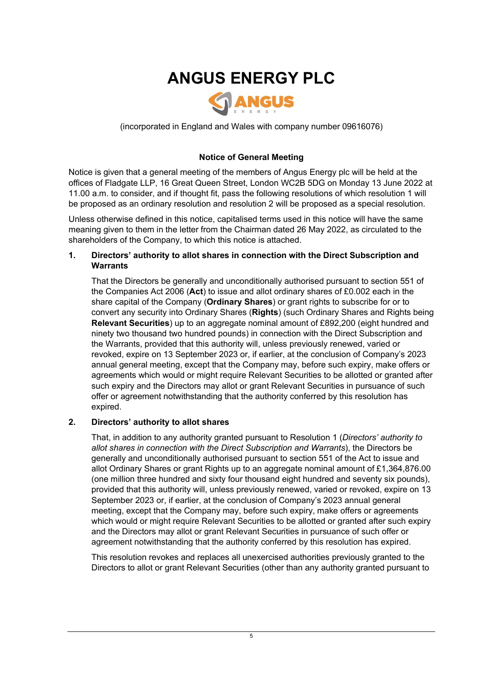# **ANGUS ENERGY PLC**



<span id="page-4-0"></span>(incorporated in England and Wales with company number 09616076)

## **Notice of General Meeting**

Notice is given that a general meeting of the members of Angus Energy plc will be held at the offices of Fladgate LLP, 16 Great Queen Street, London WC2B 5DG on Monday 13 June 2022 at 11.00 a.m. to consider, and if thought fit, pass the following resolutions of which resolution 1 will be proposed as an ordinary resolution and resolution 2 will be proposed as a special resolution.

Unless otherwise defined in this notice, capitalised terms used in this notice will have the same meaning given to them in the letter from the Chairman dated 26 May 2022, as circulated to the shareholders of the Company, to which this notice is attached.

#### <span id="page-4-1"></span>**1. Directors' authority to allot shares in connection with the Direct Subscription and Warrants**

That the Directors be generally and unconditionally authorised pursuant to section 551 of the Companies Act 2006 (**Act**) to issue and allot ordinary shares of £0.002 each in the share capital of the Company (**Ordinary Shares**) or grant rights to subscribe for or to convert any security into Ordinary Shares (**Rights**) (such Ordinary Shares and Rights being **Relevant Securities**) up to an aggregate nominal amount of £892,200 (eight hundred and ninety two thousand two hundred pounds) in connection with the Direct Subscription and the Warrants, provided that this authority will, unless previously renewed, varied or revoked, expire on 13 September 2023 or, if earlier, at the conclusion of Company's 2023 annual general meeting, except that the Company may, before such expiry, make offers or agreements which would or might require Relevant Securities to be allotted or granted after such expiry and the Directors may allot or grant Relevant Securities in pursuance of such offer or agreement notwithstanding that the authority conferred by this resolution has expired.

## <span id="page-4-2"></span>**2. Directors' authority to allot shares**

That, in addition to any authority granted pursuant to Resolution [1](#page-4-1) (*Directors' authority to allot shares in connection with the Direct Subscription and Warrants*), the Directors be generally and unconditionally authorised pursuant to section 551 of the Act to issue and allot Ordinary Shares or grant Rights up to an aggregate nominal amount of £1,364,876.00 (one million three hundred and sixty four thousand eight hundred and seventy six pounds), provided that this authority will, unless previously renewed, varied or revoked, expire on 13 September 2023 or, if earlier, at the conclusion of Company's 2023 annual general meeting, except that the Company may, before such expiry, make offers or agreements which would or might require Relevant Securities to be allotted or granted after such expiry and the Directors may allot or grant Relevant Securities in pursuance of such offer or agreement notwithstanding that the authority conferred by this resolution has expired.

This resolution revokes and replaces all unexercised authorities previously granted to the Directors to allot or grant Relevant Securities (other than any authority granted pursuant to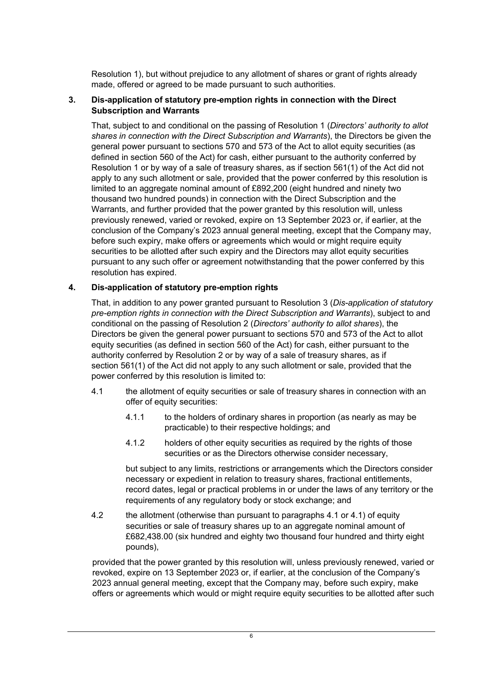Resolution [1\)](#page-4-1), but without prejudice to any allotment of shares or grant of rights already made, offered or agreed to be made pursuant to such authorities.

#### <span id="page-5-0"></span>**3. Dis-application of statutory pre-emption rights in connection with the Direct Subscription and Warrants**

That, subject to and conditional on the passing of Resolution [1](#page-4-1) (*Directors' authority to allot shares in connection with the Direct Subscription and Warrants*), the Directors be given the general power pursuant to sections 570 and 573 of the Act to allot equity securities (as defined in section 560 of the Act) for cash, either pursuant to the authority conferred by Resolution [1](#page-4-1) or by way of a sale of treasury shares, as if section 561(1) of the Act did not apply to any such allotment or sale, provided that the power conferred by this resolution is limited to an aggregate nominal amount of £892,200 (eight hundred and ninety two thousand two hundred pounds) in connection with the Direct Subscription and the Warrants, and further provided that the power granted by this resolution will, unless previously renewed, varied or revoked, expire on 13 September 2023 or, if earlier, at the conclusion of the Company's 2023 annual general meeting, except that the Company may, before such expiry, make offers or agreements which would or might require equity securities to be allotted after such expiry and the Directors may allot equity securities pursuant to any such offer or agreement notwithstanding that the power conferred by this resolution has expired.

## **4. Dis-application of statutory pre-emption rights**

That, in addition to any power granted pursuant to Resolution [3](#page-5-0) (*Dis-application of statutory pre-emption rights in connection with the Direct Subscription and Warrants*), subject to and conditional on the passing of Resolution [2](#page-4-2) (*Directors' authority to allot shares*), the Directors be given the general power pursuant to sections 570 and 573 of the Act to allot equity securities (as defined in section 560 of the Act) for cash, either pursuant to the authority conferred by Resolution [2](#page-4-2) or by way of a sale of treasury shares, as if section 561(1) of the Act did not apply to any such allotment or sale, provided that the power conferred by this resolution is limited to:

- <span id="page-5-1"></span>4.1 the allotment of equity securities or sale of treasury shares in connection with an offer of equity securities:
	- 4.1.1 to the holders of ordinary shares in proportion (as nearly as may be practicable) to their respective holdings; and
	- 4.1.2 holders of other equity securities as required by the rights of those securities or as the Directors otherwise consider necessary,

but subject to any limits, restrictions or arrangements which the Directors consider necessary or expedient in relation to treasury shares, fractional entitlements, record dates, legal or practical problems in or under the laws of any territory or the requirements of any regulatory body or stock exchange; and

4.2 the allotment (otherwise than pursuant to paragraphs [4.1](#page-5-1) or [4.1\)](#page-5-1) of equity securities or sale of treasury shares up to an aggregate nominal amount of £682,438.00 (six hundred and eighty two thousand four hundred and thirty eight pounds),

provided that the power granted by this resolution will, unless previously renewed, varied or revoked, expire on 13 September 2023 or, if earlier, at the conclusion of the Company's 2023 annual general meeting, except that the Company may, before such expiry, make offers or agreements which would or might require equity securities to be allotted after such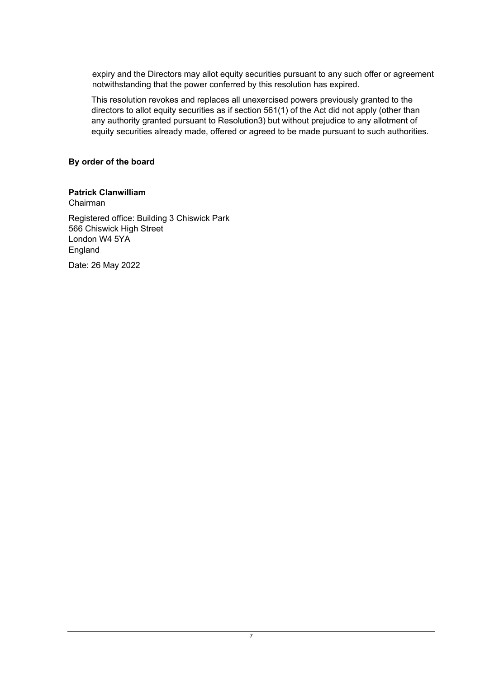expiry and the Directors may allot equity securities pursuant to any such offer or agreement notwithstanding that the power conferred by this resolution has expired.

This resolution revokes and replaces all unexercised powers previously granted to the directors to allot equity securities as if section 561(1) of the Act did not apply (other than any authority granted pursuant to Resolutio[n3\)](#page-5-0) but without prejudice to any allotment of equity securities already made, offered or agreed to be made pursuant to such authorities.

## **By order of the board**

## **Patrick Clanwilliam**

Chairman

Registered office: Building 3 Chiswick Park 566 Chiswick High Street London W4 5YA England

Date: 26 May 2022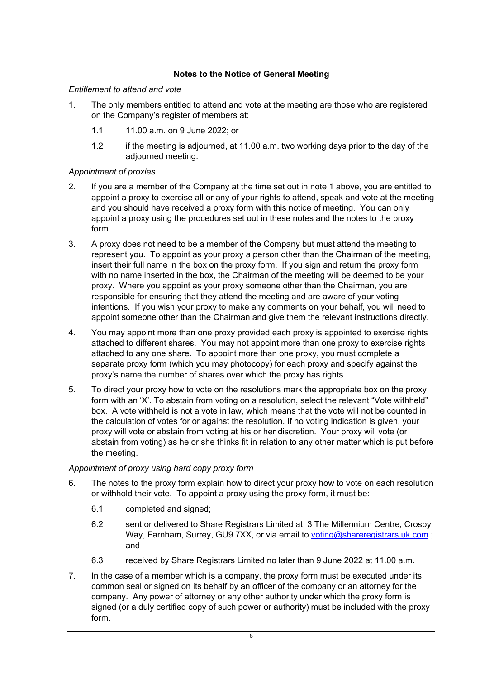## **Notes to the Notice of General Meeting**

## <span id="page-7-0"></span>*Entitlement to attend and vote*

- <span id="page-7-1"></span>1. The only members entitled to attend and vote at the meeting are those who are registered on the Company's register of members at:
	- 1.1 11.00 a.m. on 9 June 2022; or
	- 1.2 if the meeting is adjourned, at 11.00 a.m. two working days prior to the day of the adjourned meeting.

## *Appointment of proxies*

- 2. If you are a member of the Company at the time set out in note [1](#page-7-1) above, you are entitled to appoint a proxy to exercise all or any of your rights to attend, speak and vote at the meeting and you should have received a proxy form with this notice of meeting. You can only appoint a proxy using the procedures set out in these notes and the notes to the proxy form.
- <span id="page-7-3"></span>3. A proxy does not need to be a member of the Company but must attend the meeting to represent you. To appoint as your proxy a person other than the Chairman of the meeting, insert their full name in the box on the proxy form. If you sign and return the proxy form with no name inserted in the box, the Chairman of the meeting will be deemed to be your proxy. Where you appoint as your proxy someone other than the Chairman, you are responsible for ensuring that they attend the meeting and are aware of your voting intentions. If you wish your proxy to make any comments on your behalf, you will need to appoint someone other than the Chairman and give them the relevant instructions directly.
- 4. You may appoint more than one proxy provided each proxy is appointed to exercise rights attached to different shares. You may not appoint more than one proxy to exercise rights attached to any one share. To appoint more than one proxy, you must complete a separate proxy form (which you may photocopy) for each proxy and specify against the proxy's name the number of shares over which the proxy has rights.
- 5. To direct your proxy how to vote on the resolutions mark the appropriate box on the proxy form with an 'X'. To abstain from voting on a resolution, select the relevant "Vote withheld" box. A vote withheld is not a vote in law, which means that the vote will not be counted in the calculation of votes for or against the resolution. If no voting indication is given, your proxy will vote or abstain from voting at his or her discretion. Your proxy will vote (or abstain from voting) as he or she thinks fit in relation to any other matter which is put before the meeting.

## *Appointment of proxy using hard copy proxy form*

- <span id="page-7-2"></span>6. The notes to the proxy form explain how to direct your proxy how to vote on each resolution or withhold their vote. To appoint a proxy using the proxy form, it must be:
	- 6.1 completed and signed;
	- 6.2 sent or delivered to Share Registrars Limited at 3 The Millennium Centre, Crosby Way, Farnham, Surrey, GU9 7XX, or via email to [voting@shareregistrars.uk.com](mailto:voting@shareregistrars.uk.com); and
	- 6.3 received by Share Registrars Limited no later than 9 June 2022 at 11.00 a.m.
- 7. In the case of a member which is a company, the proxy form must be executed under its common seal or signed on its behalf by an officer of the company or an attorney for the company. Any power of attorney or any other authority under which the proxy form is signed (or a duly certified copy of such power or authority) must be included with the proxy form.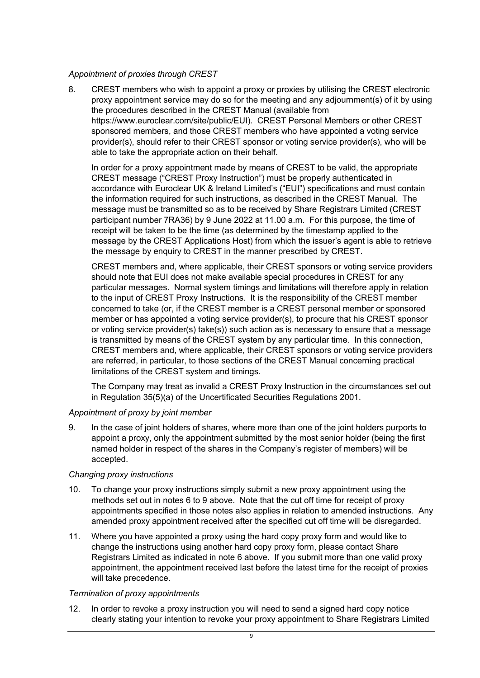## *Appointment of proxies through CREST*

8. CREST members who wish to appoint a proxy or proxies by utilising the CREST electronic proxy appointment service may do so for the meeting and any adjournment(s) of it by using the procedures described in the CREST Manual (available from https://www.euroclear.com/site/public/EUI). CREST Personal Members or other CREST sponsored members, and those CREST members who have appointed a voting service provider(s), should refer to their CREST sponsor or voting service provider(s), who will be able to take the appropriate action on their behalf.

In order for a proxy appointment made by means of CREST to be valid, the appropriate CREST message ("CREST Proxy Instruction") must be properly authenticated in accordance with Euroclear UK & Ireland Limited's ("EUI") specifications and must contain the information required for such instructions, as described in the CREST Manual. The message must be transmitted so as to be received by Share Registrars Limited (CREST participant number 7RA36) by 9 June 2022 at 11.00 a.m. For this purpose, the time of receipt will be taken to be the time (as determined by the timestamp applied to the message by the CREST Applications Host) from which the issuer's agent is able to retrieve the message by enquiry to CREST in the manner prescribed by CREST.

CREST members and, where applicable, their CREST sponsors or voting service providers should note that EUI does not make available special procedures in CREST for any particular messages. Normal system timings and limitations will therefore apply in relation to the input of CREST Proxy Instructions. It is the responsibility of the CREST member concerned to take (or, if the CREST member is a CREST personal member or sponsored member or has appointed a voting service provider(s), to procure that his CREST sponsor or voting service provider(s) take(s)) such action as is necessary to ensure that a message is transmitted by means of the CREST system by any particular time. In this connection, CREST members and, where applicable, their CREST sponsors or voting service providers are referred, in particular, to those sections of the CREST Manual concerning practical limitations of the CREST system and timings.

The Company may treat as invalid a CREST Proxy Instruction in the circumstances set out in Regulation 35(5)(a) of the Uncertificated Securities Regulations 2001.

## *Appointment of proxy by joint member*

<span id="page-8-0"></span>9. In the case of joint holders of shares, where more than one of the joint holders purports to appoint a proxy, only the appointment submitted by the most senior holder (being the first named holder in respect of the shares in the Company's register of members) will be accepted.

## *Changing proxy instructions*

- 10. To change your proxy instructions simply submit a new proxy appointment using the methods set out in notes [6](#page-7-2) to [9](#page-8-0) above. Note that the cut off time for receipt of proxy appointments specified in those notes also applies in relation to amended instructions. Any amended proxy appointment received after the specified cut off time will be disregarded.
- 11. Where you have appointed a proxy using the hard copy proxy form and would like to change the instructions using another hard copy proxy form, please contact Share Registrars Limited as indicated in note [6](#page-7-2) above. If you submit more than one valid proxy appointment, the appointment received last before the latest time for the receipt of proxies will take precedence.

## *Termination of proxy appointments*

12. In order to revoke a proxy instruction you will need to send a signed hard copy notice clearly stating your intention to revoke your proxy appointment to Share Registrars Limited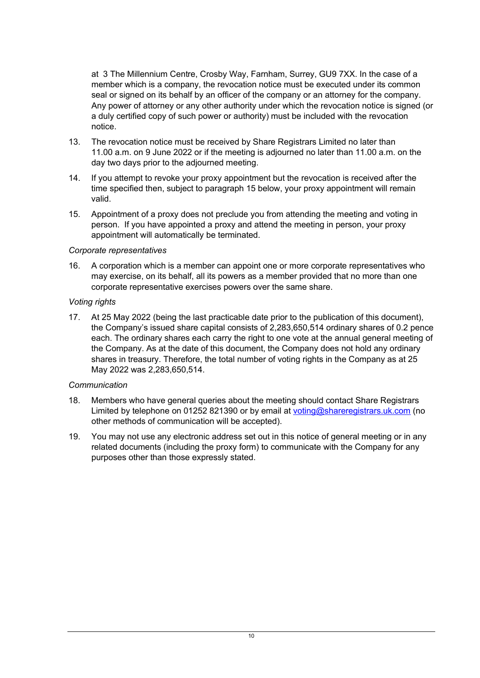at 3 The Millennium Centre, Crosby Way, Farnham, Surrey, GU9 7XX. In the case of a member which is a company, the revocation notice must be executed under its common seal or signed on its behalf by an officer of the company or an attorney for the company. Any power of attorney or any other authority under which the revocation notice is signed (or a duly certified copy of such power or authority) must be included with the revocation notice.

- 13. The revocation notice must be received by Share Registrars Limited no later than 11.00 a.m. on 9 June 2022 or if the meeting is adjourned no later than 11.00 a.m. on the day two days prior to the adjourned meeting.
- 14. If you attempt to revoke your proxy appointment but the revocation is received after the time specified then, subject to paragraph [15](#page-9-0) below, your proxy appointment will remain valid.
- <span id="page-9-0"></span>15. Appointment of a proxy does not preclude you from attending the meeting and voting in person. If you have appointed a proxy and attend the meeting in person, your proxy appointment will automatically be terminated.

## *Corporate representatives*

16. A corporation which is a member can appoint one or more corporate representatives who may exercise, on its behalf, all its powers as a member provided that no more than one corporate representative exercises powers over the same share.

#### *Voting rights*

17. At 25 May 2022 (being the last practicable date prior to the publication of this document), the Company's issued share capital consists of 2,283,650,514 ordinary shares of 0.2 pence each. The ordinary shares each carry the right to one vote at the annual general meeting of the Company. As at the date of this document, the Company does not hold any ordinary shares in treasury. Therefore, the total number of voting rights in the Company as at 25 May 2022 was 2,283,650,514.

## *Communication*

- 18. Members who have general queries about the meeting should contact Share Registrars Limited by telephone on 01252 821390 or by email at [voting@shareregistrars.uk.com](mailto:voting@shareregistrars.uk.com) (no other methods of communication will be accepted).
- 19. You may not use any electronic address set out in this notice of general meeting or in any related documents (including the proxy form) to communicate with the Company for any purposes other than those expressly stated.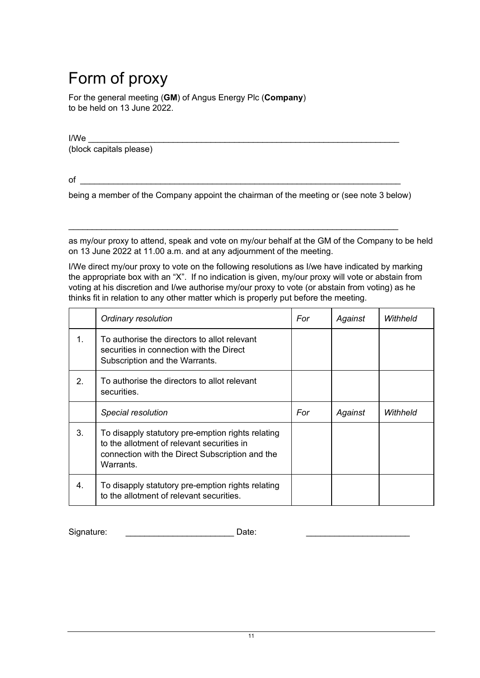# Form of proxy

For the general meeting (**GM**) of Angus Energy Plc (**Company**) to be held on 13 June 2022.

I/We \_\_\_\_\_\_\_\_\_\_\_\_\_\_\_\_\_\_\_\_\_\_\_\_\_\_\_\_\_\_\_\_\_\_\_\_\_\_\_\_\_\_\_\_\_\_\_\_\_\_\_\_\_\_\_\_\_\_\_\_\_\_\_\_\_\_

(block capitals please)

 $\circ$  f

being a member of the Company appoint the chairman of the meeting or (see note [3](#page-7-3) below)

 $\_$  , and the set of the set of the set of the set of the set of the set of the set of the set of the set of the set of the set of the set of the set of the set of the set of the set of the set of the set of the set of th

as my/our proxy to attend, speak and vote on my/our behalf at the GM of the Company to be held on 13 June 2022 at 11.00 a.m. and at any adjournment of the meeting.

I/We direct my/our proxy to vote on the following resolutions as I/we have indicated by marking the appropriate box with an "X". If no indication is given, my/our proxy will vote or abstain from voting at his discretion and I/we authorise my/our proxy to vote (or abstain from voting) as he thinks fit in relation to any other matter which is properly put before the meeting.

|                | Ordinary resolution                                                                                                                                             | For | Against | Withheld |
|----------------|-----------------------------------------------------------------------------------------------------------------------------------------------------------------|-----|---------|----------|
| $\mathbf 1$ .  | To authorise the directors to allot relevant<br>securities in connection with the Direct<br>Subscription and the Warrants.                                      |     |         |          |
| 2 <sub>1</sub> | To authorise the directors to allot relevant<br>securities.                                                                                                     |     |         |          |
|                | Special resolution                                                                                                                                              | For | Against | Withheld |
| 3.             | To disapply statutory pre-emption rights relating<br>to the allotment of relevant securities in<br>connection with the Direct Subscription and the<br>Warrants. |     |         |          |
| 4.             | To disapply statutory pre-emption rights relating<br>to the allotment of relevant securities.                                                                   |     |         |          |

Signature: \_\_\_\_\_\_\_\_\_\_\_\_\_\_\_\_\_\_\_\_\_\_\_\_\_\_\_\_\_\_\_\_Date: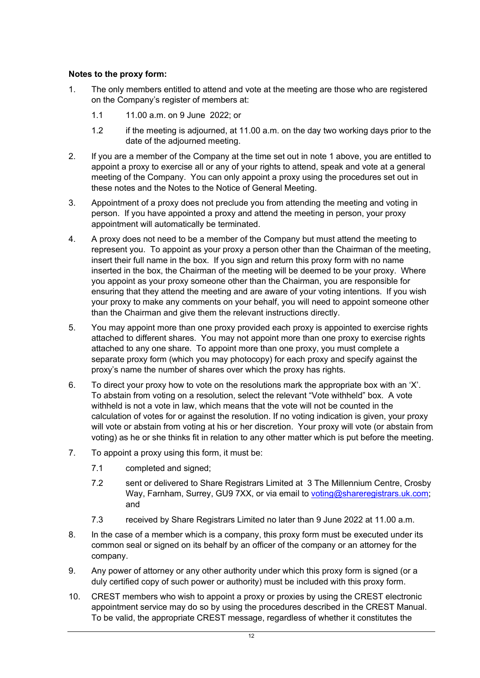## **Notes to the proxy form:**

- 1. The only members entitled to attend and vote at the meeting are those who are registered on the Company's register of members at:
	- 1.1 11.00 a.m. on 9 June 2022; or
	- 1.2 if the meeting is adjourned, at 11.00 a.m. on the day two working days prior to the date of the adjourned meeting.
- 2. If you are a member of the Company at the time set out in note [1](#page-7-1) above, you are entitled to appoint a proxy to exercise all or any of your rights to attend, speak and vote at a general meeting of the Company. You can only appoint a proxy using the procedures set out in these notes and the Notes to the Notice of General Meeting.
- 3. Appointment of a proxy does not preclude you from attending the meeting and voting in person. If you have appointed a proxy and attend the meeting in person, your proxy appointment will automatically be terminated.
- 4. A proxy does not need to be a member of the Company but must attend the meeting to represent you. To appoint as your proxy a person other than the Chairman of the meeting, insert their full name in the box. If you sign and return this proxy form with no name inserted in the box, the Chairman of the meeting will be deemed to be your proxy. Where you appoint as your proxy someone other than the Chairman, you are responsible for ensuring that they attend the meeting and are aware of your voting intentions. If you wish your proxy to make any comments on your behalf, you will need to appoint someone other than the Chairman and give them the relevant instructions directly.
- 5. You may appoint more than one proxy provided each proxy is appointed to exercise rights attached to different shares. You may not appoint more than one proxy to exercise rights attached to any one share. To appoint more than one proxy, you must complete a separate proxy form (which you may photocopy) for each proxy and specify against the proxy's name the number of shares over which the proxy has rights.
- 6. To direct your proxy how to vote on the resolutions mark the appropriate box with an 'X'. To abstain from voting on a resolution, select the relevant "Vote withheld" box. A vote withheld is not a vote in law, which means that the vote will not be counted in the calculation of votes for or against the resolution. If no voting indication is given, your proxy will vote or abstain from voting at his or her discretion. Your proxy will vote (or abstain from voting) as he or she thinks fit in relation to any other matter which is put before the meeting.
- 7. To appoint a proxy using this form, it must be:
	- 7.1 completed and signed;
	- 7.2 sent or delivered to Share Registrars Limited at 3 The Millennium Centre, Crosby Way, Farnham, Surrey, GU9 7XX, or via email to [voting@shareregistrars.uk.com;](mailto:voting@shareregistrars.uk.com) and
	- 7.3 received by Share Registrars Limited no later than 9 June 2022 at 11.00 a.m.
- 8. In the case of a member which is a company, this proxy form must be executed under its common seal or signed on its behalf by an officer of the company or an attorney for the company.
- 9. Any power of attorney or any other authority under which this proxy form is signed (or a duly certified copy of such power or authority) must be included with this proxy form.
- 10. CREST members who wish to appoint a proxy or proxies by using the CREST electronic appointment service may do so by using the procedures described in the CREST Manual. To be valid, the appropriate CREST message, regardless of whether it constitutes the